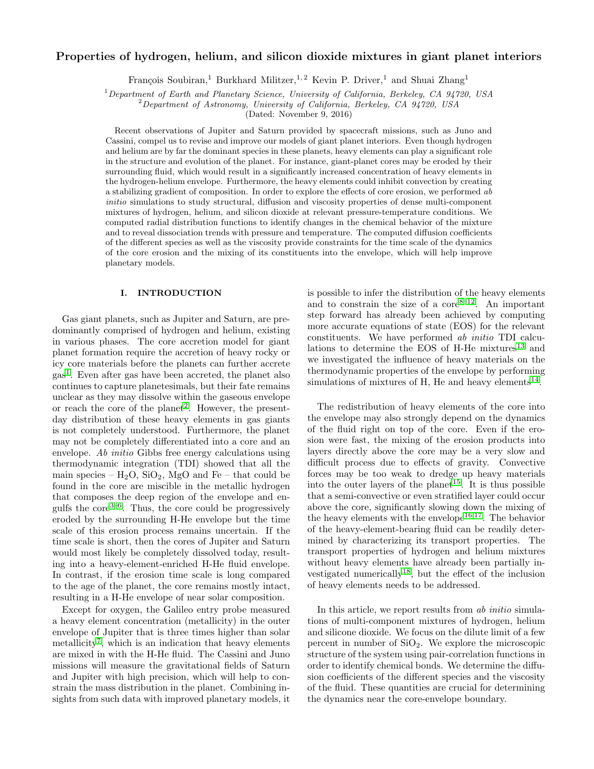# Properties of hydrogen, helium, and silicon dioxide mixtures in giant planet interiors

François Soubiran,<sup>1</sup> Burkhard Militzer,<sup>1,2</sup> Kevin P. Driver,<sup>1</sup> and Shuai Zhang<sup>1</sup>

 $1$ Department of Earth and Planetary Science, University of California, Berkeley, CA 94720, USA

 $^{2}$ Department of Astronomy, University of California, Berkeley, CA 94720, USA

(Dated: November 9, 2016)

Recent observations of Jupiter and Saturn provided by spacecraft missions, such as Juno and Cassini, compel us to revise and improve our models of giant planet interiors. Even though hydrogen and helium are by far the dominant species in these planets, heavy elements can play a significant role in the structure and evolution of the planet. For instance, giant-planet cores may be eroded by their surrounding fluid, which would result in a significantly increased concentration of heavy elements in the hydrogen-helium envelope. Furthermore, the heavy elements could inhibit convection by creating a stabilizing gradient of composition. In order to explore the effects of core erosion, we performed ab initio simulations to study structural, diffusion and viscosity properties of dense multi-component mixtures of hydrogen, helium, and silicon dioxide at relevant pressure-temperature conditions. We computed radial distribution functions to identify changes in the chemical behavior of the mixture and to reveal dissociation trends with pressure and temperature. The computed diffusion coefficients of the different species as well as the viscosity provide constraints for the time scale of the dynamics of the core erosion and the mixing of its constituents into the envelope, which will help improve planetary models.

# I. INTRODUCTION

Gas giant planets, such as Jupiter and Saturn, are predominantly comprised of hydrogen and helium, existing in various phases. The core accretion model for giant planet formation require the accretion of heavy rocky or icy core materials before the planets can further accrete gas[1](#page-6-0) . Even after gas have been accreted, the planet also continues to capture planetesimals, but their fate remains unclear as they may dissolve within the gaseous envelope or reach the core of the planet<sup>[2](#page-6-1)</sup>. However, the presentday distribution of these heavy elements in gas giants is not completely understood. Furthermore, the planet may not be completely differentiated into a core and an envelope. Ab *initio* Gibbs free energy calculations using thermodynamic integration (TDI) showed that all the main species –  $H_2O$ ,  $SiO_2$ , MgO and Fe – that could be found in the core are miscible in the metallic hydrogen that composes the deep region of the envelope and engulfs the  $\text{core}^{3-6}$  $\text{core}^{3-6}$  $\text{core}^{3-6}$ . Thus, the core could be progressively eroded by the surrounding H-He envelope but the time scale of this erosion process remains uncertain. If the time scale is short, then the cores of Jupiter and Saturn would most likely be completely dissolved today, resulting into a heavy-element-enriched H-He fluid envelope. In contrast, if the erosion time scale is long compared to the age of the planet, the core remains mostly intact, resulting in a H-He envelope of near solar composition.

Except for oxygen, the Galileo entry probe measured a heavy element concentration (metallicity) in the outer envelope of Jupiter that is three times higher than solar metallicity<sup>[7](#page-6-4)</sup>, which is an indication that heavy elements are mixed in with the H-He fluid. The Cassini and Juno missions will measure the gravitational fields of Saturn and Jupiter with high precision, which will help to constrain the mass distribution in the planet. Combining insights from such data with improved planetary models, it

is possible to infer the distribution of the heavy elements and to constrain the size of a  $\text{core}^{8-12}$  $\text{core}^{8-12}$  $\text{core}^{8-12}$ . An important step forward has already been achieved by computing more accurate equations of state (EOS) for the relevant constituents. We have performed ab initio TDI calcu-lations to determine the EOS of H-He mixtures<sup>[13](#page-6-7)</sup> and we investigated the influence of heavy materials on the thermodynamic properties of the envelope by performing simulations of mixtures of H, He and heavy elements<sup>[14](#page-6-8)</sup>.

The redistribution of heavy elements of the core into the envelope may also strongly depend on the dynamics of the fluid right on top of the core. Even if the erosion were fast, the mixing of the erosion products into layers directly above the core may be a very slow and difficult process due to effects of gravity. Convective forces may be too weak to dredge up heavy materials into the outer layers of the planet<sup>[15](#page-6-9)</sup>. It is thus possible that a semi-convective or even stratified layer could occur above the core, significantly slowing down the mixing of the heavy elements with the envelope<sup>[16,](#page-6-10)[17](#page-6-11)</sup>. The behavior of the heavy-element-bearing fluid can be readily determined by characterizing its transport properties. The transport properties of hydrogen and helium mixtures without heavy elements have already been partially investigated numerically[18](#page-6-12), but the effect of the inclusion of heavy elements needs to be addressed.

In this article, we report results from ab initio simulations of multi-component mixtures of hydrogen, helium and silicone dioxide. We focus on the dilute limit of a few percent in number of  $SiO<sub>2</sub>$ . We explore the microscopic structure of the system using pair-correlation functions in order to identify chemical bonds. We determine the diffusion coefficients of the different species and the viscosity of the fluid. These quantities are crucial for determining the dynamics near the core-envelope boundary.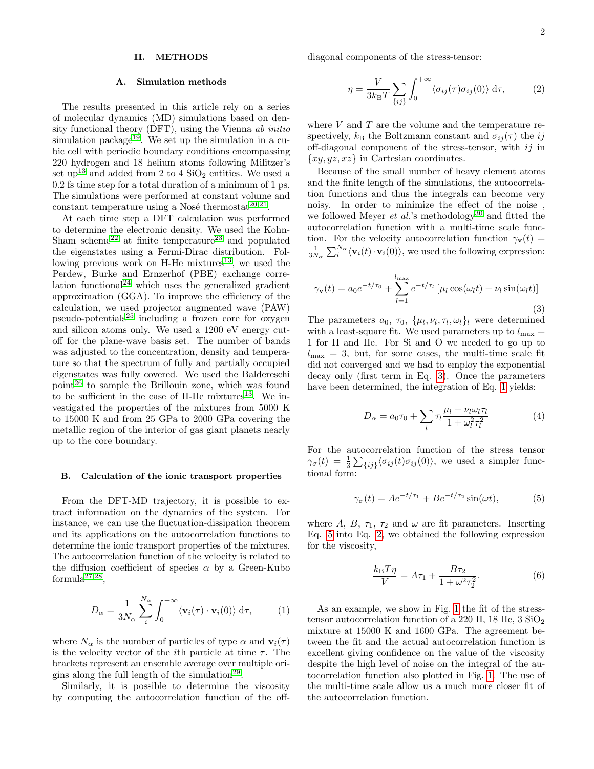### II. METHODS

#### A. Simulation methods

The results presented in this article rely on a series of molecular dynamics (MD) simulations based on density functional theory (DFT), using the Vienna ab initio simulation package<sup>[19](#page-6-13)</sup>. We set up the simulation in a cubic cell with periodic boundary conditions encompassing 220 hydrogen and 18 helium atoms following Militzer's set up<sup>[13](#page-6-7)</sup> and added from 2 to 4  $SiO<sub>2</sub>$  entities. We used a 0.2 fs time step for a total duration of a minimum of 1 ps. The simulations were performed at constant volume and constant temperature using a Nosé thermostat $^{20,21}$  $^{20,21}$  $^{20,21}$  $^{20,21}$ .

At each time step a DFT calculation was performed to determine the electronic density. We used the Kohn-Sham scheme<sup>[22](#page-6-16)</sup> at finite temperature<sup>[23](#page-6-17)</sup> and populated the eigenstates using a Fermi-Dirac distribution. Fol-lowing previous work on H-He mixtures<sup>[13](#page-6-7)</sup>, we used the Perdew, Burke and Ernzerhof (PBE) exchange corre-lation functional<sup>[24](#page-6-18)</sup> which uses the generalized gradient approximation (GGA). To improve the efficiency of the calculation, we used projector augmented wave (PAW)  $pseudo-potentials<sup>25</sup>$  $pseudo-potentials<sup>25</sup>$  $pseudo-potentials<sup>25</sup>$  including a frozen core for oxygen and silicon atoms only. We used a 1200 eV energy cutoff for the plane-wave basis set. The number of bands was adjusted to the concentration, density and temperature so that the spectrum of fully and partially occupied eigenstates was fully covered. We used the Baldereschi point[26](#page-6-20) to sample the Brillouin zone, which was found to be sufficient in the case of H-He mixtures $^{13}$  $^{13}$  $^{13}$ . We investigated the properties of the mixtures from 5000 K to 15000 K and from 25 GPa to 2000 GPa covering the metallic region of the interior of gas giant planets nearly up to the core boundary.

#### <span id="page-1-4"></span>B. Calculation of the ionic transport properties

From the DFT-MD trajectory, it is possible to extract information on the dynamics of the system. For instance, we can use the fluctuation-dissipation theorem and its applications on the autocorrelation functions to determine the ionic transport properties of the mixtures. The autocorrelation function of the velocity is related to the diffusion coefficient of species  $\alpha$  by a Green-Kubo  $formula<sup>27,28</sup>$  $formula<sup>27,28</sup>$  $formula<sup>27,28</sup>$  $formula<sup>27,28</sup>$ ,

<span id="page-1-1"></span>
$$
D_{\alpha} = \frac{1}{3N_{\alpha}} \sum_{i}^{N_{\alpha}} \int_{0}^{+\infty} \langle \mathbf{v}_{i}(\tau) \cdot \mathbf{v}_{i}(0) \rangle \, d\tau, \tag{1}
$$

where  $N_{\alpha}$  is the number of particles of type  $\alpha$  and  $\mathbf{v}_i(\tau)$ is the velocity vector of the *i*th particle at time  $\tau$ . The brackets represent an ensemble average over multiple ori-gins along the full length of the simulation<sup>[29](#page-6-23)</sup>.

Similarly, it is possible to determine the viscosity by computing the autocorrelation function of the offdiagonal components of the stress-tensor:

<span id="page-1-3"></span>
$$
\eta = \frac{V}{3k_{\rm B}T} \sum_{\{ij\}} \int_0^{+\infty} \langle \sigma_{ij}(\tau) \sigma_{ij}(0) \rangle \, d\tau, \tag{2}
$$

where  $V$  and  $T$  are the volume and the temperature respectively,  $k_{\text{B}}$  the Boltzmann constant and  $\sigma_{ij}(\tau)$  the ij off-diagonal component of the stress-tensor, with ij in  $\{xy, yz, xz\}$  in Cartesian coordinates.

Because of the small number of heavy element atoms and the finite length of the simulations, the autocorrelation functions and thus the integrals can become very noisy. In order to minimize the effect of the noise , we followed Meyer *et al.*'s methodology<sup>[30](#page-6-24)</sup> and fitted the autocorrelation function with a multi-time scale function. For the velocity autocorrelation function  $\gamma_{\mathbf{v}}(t) =$  $\frac{1}{3N_{\alpha}}\sum_{i}^{N_{\alpha}}\langle \mathbf{v}_{i}(t)\cdot \mathbf{v}_{i}(0)\rangle$ , we used the following expression:

<span id="page-1-0"></span>
$$
\gamma_{\mathbf{v}}(t) = a_0 e^{-t/\tau_0} + \sum_{l=1}^{l_{\text{max}}} e^{-t/\tau_l} \left[ \mu_l \cos(\omega_l t) + \nu_l \sin(\omega_l t) \right]
$$
\n(3)

The parameters  $a_0, \tau_0, \{\mu_l, \nu_l, \tau_l, \omega_l\}_l$  were determined with a least-square fit. We used parameters up to  $l_{\text{max}} =$ 1 for H and He. For Si and O we needed to go up to  $l_{\text{max}} = 3$ , but, for some cases, the multi-time scale fit did not converged and we had to employ the exponential decay only (first term in Eq. [3\)](#page-1-0). Once the parameters have been determined, the integration of Eq. [1](#page-1-1) yields:

$$
D_{\alpha} = a_0 \tau_0 + \sum_{l} \tau_l \frac{\mu_l + \nu_l \omega_l \tau_l}{1 + \omega_l^2 \tau_l^2}
$$
 (4)

For the autocorrelation function of the stress tensor  $\gamma_{\sigma}(t) = \frac{1}{3} \sum_{\{ij\}} \langle \sigma_{ij}(t) \sigma_{ij}(0) \rangle$ , we used a simpler functional form:

<span id="page-1-2"></span>
$$
\gamma_{\sigma}(t) = Ae^{-t/\tau_1} + Be^{-t/\tau_2}\sin(\omega t),\tag{5}
$$

where A, B,  $\tau_1$ ,  $\tau_2$  and  $\omega$  are fit parameters. Inserting Eq. [5](#page-1-2) into Eq. [2,](#page-1-3) we obtained the following expression for the viscosity,

$$
\frac{k_{\rm B}T\eta}{V} = A\tau_1 + \frac{B\tau_2}{1 + \omega^2 \tau_2^2}.
$$
\n
$$
\tag{6}
$$

As an example, we show in Fig. [1](#page-2-0) the fit of the stresstensor autocorrelation function of a 220 H, 18 He,  $3 \text{ SiO}_2$ mixture at 15000 K and 1600 GPa. The agreement between the fit and the actual autocorrelation function is excellent giving confidence on the value of the viscosity despite the high level of noise on the integral of the autocorrelation function also plotted in Fig. [1.](#page-2-0) The use of the multi-time scale allow us a much more closer fit of the autocorrelation function.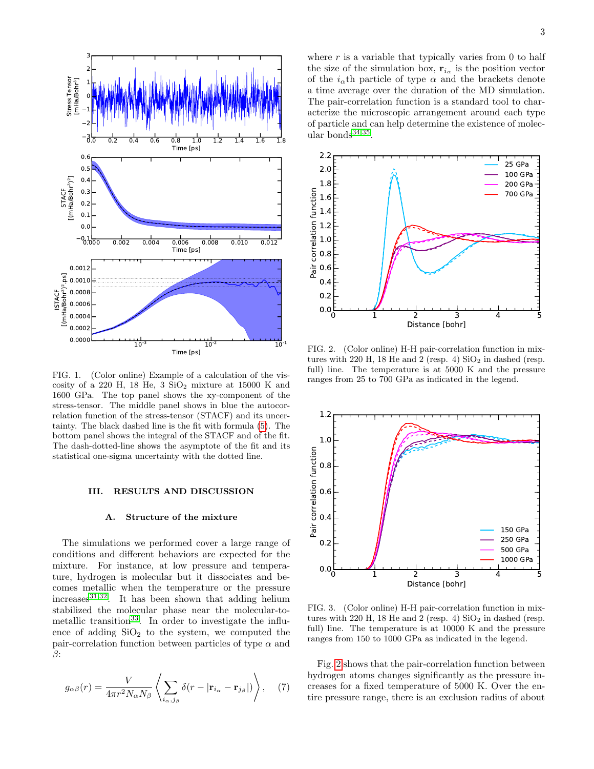

<span id="page-2-0"></span>FIG. 1. (Color online) Example of a calculation of the viscosity of a 220 H, 18 He,  $3 \text{ SiO}_2$  mixture at 15000 K and 1600 GPa. The top panel shows the xy-component of the stress-tensor. The middle panel shows in blue the autocorrelation function of the stress-tensor (STACF) and its uncertainty. The black dashed line is the fit with formula [\(5\)](#page-1-2). The bottom panel shows the integral of the STACF and of the fit. The dash-dotted-line shows the asymptote of the fit and its statistical one-sigma uncertainty with the dotted line.

### III. RESULTS AND DISCUSSION

#### A. Structure of the mixture

The simulations we performed cover a large range of conditions and different behaviors are expected for the mixture. For instance, at low pressure and temperature, hydrogen is molecular but it dissociates and becomes metallic when the temperature or the pressure  $increases$ <sup>[31,](#page-6-25)[32](#page-6-26)</sup>. It has been shown that adding helium stabilized the molecular phase near the molecular-to-metallic transition<sup>[33](#page-6-27)</sup>. In order to investigate the influence of adding  $SiO<sub>2</sub>$  to the system, we computed the pair-correlation function between particles of type  $\alpha$  and β:

$$
g_{\alpha\beta}(r) = \frac{V}{4\pi r^2 N_{\alpha} N_{\beta}} \left\langle \sum_{i_{\alpha},j_{\beta}} \delta(r - |\mathbf{r}_{i_{\alpha}} - \mathbf{r}_{j_{\beta}}|) \right\rangle, \quad (7)
$$

where  $r$  is a variable that typically varies from 0 to half the size of the simulation box,  $\mathbf{r}_{i_{\alpha}}$  is the position vector of the  $i_{\alpha}$ th particle of type  $\alpha$  and the brackets denote a time average over the duration of the MD simulation. The pair-correlation function is a standard tool to characterize the microscopic arrangement around each type of particle and can help determine the existence of molecular bonds $34,35$  $34,35$ .



<span id="page-2-1"></span>FIG. 2. (Color online) H-H pair-correlation function in mixtures with 220 H, 18 He and 2 (resp. 4)  $SiO<sub>2</sub>$  in dashed (resp. full) line. The temperature is at 5000 K and the pressure ranges from 25 to 700 GPa as indicated in the legend.



<span id="page-2-2"></span>FIG. 3. (Color online) H-H pair-correlation function in mixtures with 220 H, 18 He and 2 (resp. 4)  $SiO<sub>2</sub>$  in dashed (resp. full) line. The temperature is at 10000 K and the pressure ranges from 150 to 1000 GPa as indicated in the legend.

Fig. [2](#page-2-1) shows that the pair-correlation function between hydrogen atoms changes significantly as the pressure increases for a fixed temperature of 5000 K. Over the entire pressure range, there is an exclusion radius of about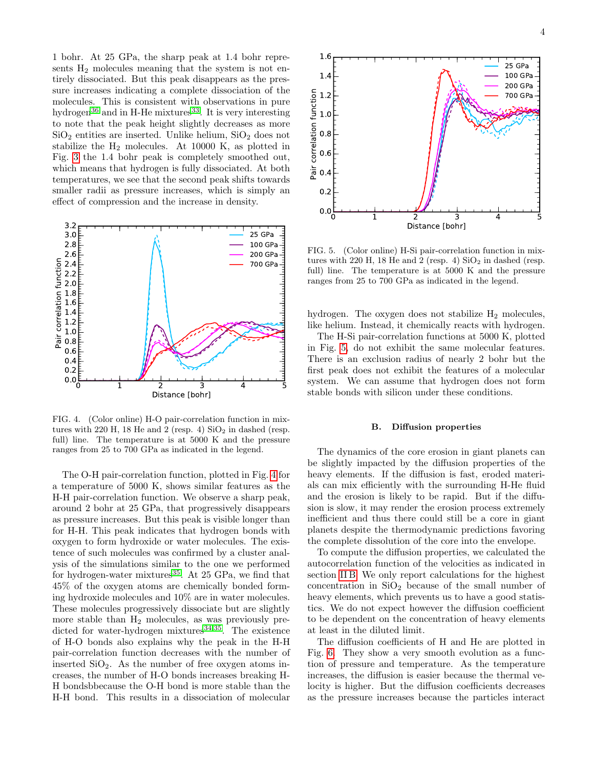1 bohr. At 25 GPa, the sharp peak at 1.4 bohr represents  $H_2$  molecules meaning that the system is not entirely dissociated. But this peak disappears as the pressure increases indicating a complete dissociation of the molecules. This is consistent with observations in pure hydrogen<sup>[36](#page-6-30)</sup> and in H-He mixtures<sup>[33](#page-6-27)</sup>. It is very interesting to note that the peak height slightly decreases as more  $SiO<sub>2</sub>$  entities are inserted. Unlike helium,  $SiO<sub>2</sub>$  does not stabilize the  $H_2$  molecules. At 10000 K, as plotted in Fig. [3](#page-2-2) the 1.4 bohr peak is completely smoothed out, which means that hydrogen is fully dissociated. At both temperatures, we see that the second peak shifts towards smaller radii as pressure increases, which is simply an effect of compression and the increase in density.



<span id="page-3-0"></span>FIG. 4. (Color online) H-O pair-correlation function in mixtures with 220 H, 18 He and 2 (resp. 4)  $SiO<sub>2</sub>$  in dashed (resp. full) line. The temperature is at 5000 K and the pressure ranges from 25 to 700 GPa as indicated in the legend.

The O-H pair-correlation function, plotted in Fig. [4](#page-3-0) for a temperature of 5000 K, shows similar features as the H-H pair-correlation function. We observe a sharp peak, around 2 bohr at 25 GPa, that progressively disappears as pressure increases. But this peak is visible longer than for H-H. This peak indicates that hydrogen bonds with oxygen to form hydroxide or water molecules. The existence of such molecules was confirmed by a cluster analysis of the simulations similar to the one we performed for hydrogen-water mixtures $35$ . At 25 GPa, we find that 45% of the oxygen atoms are chemically bonded forming hydroxide molecules and 10% are in water molecules. These molecules progressively dissociate but are slightly more stable than  $H_2$  molecules, as was previously predicted for water-hydrogen mixtures $34,35$  $34,35$ . The existence of H-O bonds also explains why the peak in the H-H pair-correlation function decreases with the number of inserted  $SiO<sub>2</sub>$ . As the number of free oxygen atoms increases, the number of H-O bonds increases breaking H-H bondsbbecause the O-H bond is more stable than the H-H bond. This results in a dissociation of molecular



<span id="page-3-1"></span>FIG. 5. (Color online) H-Si pair-correlation function in mixtures with 220 H, 18 He and 2 (resp. 4)  $SiO<sub>2</sub>$  in dashed (resp. full) line. The temperature is at 5000 K and the pressure ranges from 25 to 700 GPa as indicated in the legend.

hydrogen. The oxygen does not stabilize  $H_2$  molecules, like helium. Instead, it chemically reacts with hydrogen.

The H-Si pair-correlation functions at 5000 K, plotted in Fig. [5,](#page-3-1) do not exhibit the same molecular features. There is an exclusion radius of nearly 2 bohr but the first peak does not exhibit the features of a molecular system. We can assume that hydrogen does not form stable bonds with silicon under these conditions.

## B. Diffusion properties

The dynamics of the core erosion in giant planets can be slightly impacted by the diffusion properties of the heavy elements. If the diffusion is fast, eroded materials can mix efficiently with the surrounding H-He fluid and the erosion is likely to be rapid. But if the diffusion is slow, it may render the erosion process extremely inefficient and thus there could still be a core in giant planets despite the thermodynamic predictions favoring the complete dissolution of the core into the envelope.

To compute the diffusion properties, we calculated the autocorrelation function of the velocities as indicated in section [II B.](#page-1-4) We only report calculations for the highest concentration in  $SiO<sub>2</sub>$  because of the small number of heavy elements, which prevents us to have a good statistics. We do not expect however the diffusion coefficient to be dependent on the concentration of heavy elements at least in the diluted limit.

The diffusion coefficients of H and He are plotted in Fig. [6.](#page-4-0) They show a very smooth evolution as a function of pressure and temperature. As the temperature increases, the diffusion is easier because the thermal velocity is higher. But the diffusion coefficients decreases as the pressure increases because the particles interact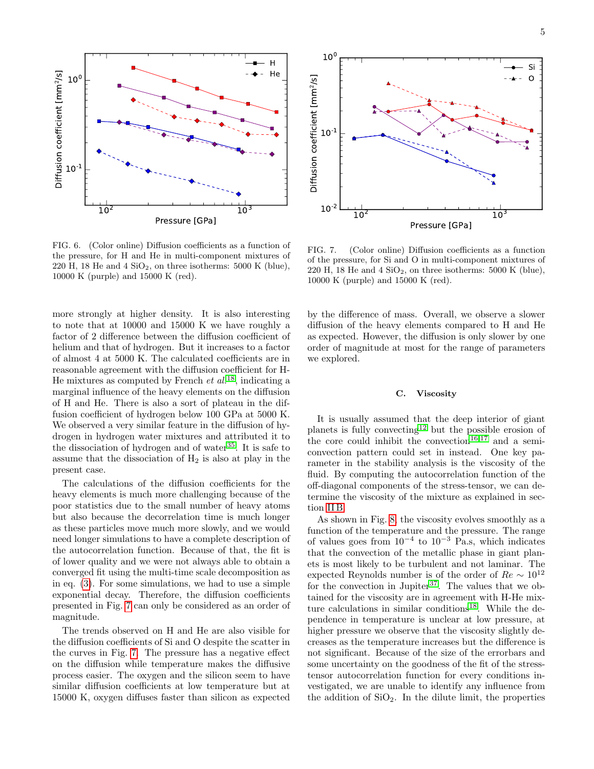

<span id="page-4-0"></span>FIG. 6. (Color online) Diffusion coefficients as a function of the pressure, for H and He in multi-component mixtures of 220 H, 18 He and  $4 \text{ SiO}_2$ , on three isotherms: 5000 K (blue), 10000 K (purple) and 15000 K (red).

more strongly at higher density. It is also interesting to note that at 10000 and 15000 K we have roughly a factor of 2 difference between the diffusion coefficient of helium and that of hydrogen. But it increases to a factor of almost 4 at 5000 K. The calculated coefficients are in reasonable agreement with the diffusion coefficient for H-He mixtures as computed by French *et al.*<sup>[18](#page-6-12)</sup>, indicating a marginal influence of the heavy elements on the diffusion of H and He. There is also a sort of plateau in the diffusion coefficient of hydrogen below 100 GPa at 5000 K. We observed a very similar feature in the diffusion of hydrogen in hydrogen water mixtures and attributed it to the dissociation of hydrogen and of water<sup>[35](#page-6-29)</sup>. It is safe to assume that the dissociation of  $H_2$  is also at play in the present case.

The calculations of the diffusion coefficients for the heavy elements is much more challenging because of the poor statistics due to the small number of heavy atoms but also because the decorrelation time is much longer as these particles move much more slowly, and we would need longer simulations to have a complete description of the autocorrelation function. Because of that, the fit is of lower quality and we were not always able to obtain a converged fit using the multi-time scale decomposition as in eq. [\(3\)](#page-1-0). For some simulations, we had to use a simple exponential decay. Therefore, the diffusion coefficients presented in Fig. [7](#page-4-1) can only be considered as an order of magnitude.

The trends observed on H and He are also visible for the diffusion coefficients of Si and O despite the scatter in the curves in Fig. [7.](#page-4-1) The pressure has a negative effect on the diffusion while temperature makes the diffusive process easier. The oxygen and the silicon seem to have similar diffusion coefficients at low temperature but at 15000 K, oxygen diffuses faster than silicon as expected



<span id="page-4-1"></span>FIG. 7. (Color online) Diffusion coefficients as a function of the pressure, for Si and O in multi-component mixtures of 220 H, 18 He and  $4 \text{ SiO}_2$ , on three isotherms: 5000 K (blue), 10000 K (purple) and 15000 K (red).

by the difference of mass. Overall, we observe a slower diffusion of the heavy elements compared to H and He as expected. However, the diffusion is only slower by one order of magnitude at most for the range of parameters we explored.

#### C. Viscosity

It is usually assumed that the deep interior of giant planets is fully convecting<sup>[12](#page-6-6)</sup> but the possible erosion of the core could inhibit the convection<sup>[16,](#page-6-10)[17](#page-6-11)</sup> and a semiconvection pattern could set in instead. One key parameter in the stability analysis is the viscosity of the fluid. By computing the autocorrelation function of the off-diagonal components of the stress-tensor, we can determine the viscosity of the mixture as explained in section [II B.](#page-1-4)

As shown in Fig. [8,](#page-5-0) the viscosity evolves smoothly as a function of the temperature and the pressure. The range of values goes from  $10^{-4}$  to  $10^{-3}$  Pa.s, which indicates that the convection of the metallic phase in giant planets is most likely to be turbulent and not laminar. The expected Reynolds number is of the order of  $Re \sim 10^{12}$ for the convection in Jupiter<sup>[37](#page-6-31)</sup>. The values that we obtained for the viscosity are in agreement with H-He mix-ture calculations in similar conditions<sup>[18](#page-6-12)</sup>. While the dependence in temperature is unclear at low pressure, at higher pressure we observe that the viscosity slightly decreases as the temperature increases but the difference is not significant. Because of the size of the errorbars and some uncertainty on the goodness of the fit of the stresstensor autocorrelation function for every conditions investigated, we are unable to identify any influence from the addition of  $SiO<sub>2</sub>$ . In the dilute limit, the properties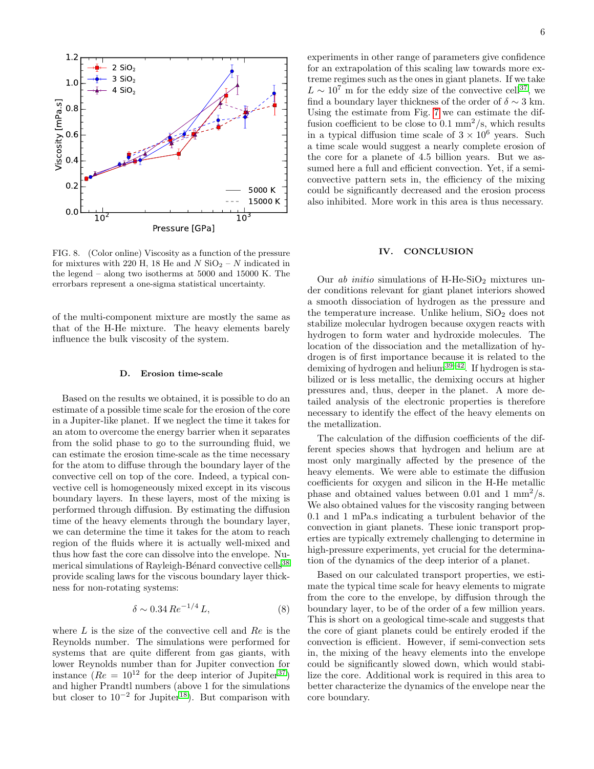

<span id="page-5-0"></span>FIG. 8. (Color online) Viscosity as a function of the pressure for mixtures with 220 H, 18 He and N  $SiO_2 - N$  indicated in the legend – along two isotherms at 5000 and 15000 K. The errorbars represent a one-sigma statistical uncertainty.

of the multi-component mixture are mostly the same as that of the H-He mixture. The heavy elements barely influence the bulk viscosity of the system.

#### D. Erosion time-scale

Based on the results we obtained, it is possible to do an estimate of a possible time scale for the erosion of the core in a Jupiter-like planet. If we neglect the time it takes for an atom to overcome the energy barrier when it separates from the solid phase to go to the surrounding fluid, we can estimate the erosion time-scale as the time necessary for the atom to diffuse through the boundary layer of the convective cell on top of the core. Indeed, a typical convective cell is homogeneously mixed except in its viscous boundary layers. In these layers, most of the mixing is performed through diffusion. By estimating the diffusion time of the heavy elements through the boundary layer, we can determine the time it takes for the atom to reach region of the fluids where it is actually well-mixed and thus how fast the core can dissolve into the envelope. Nu-merical simulations of Rayleigh-Bénard convective cells<sup>[38](#page-6-32)</sup> provide scaling laws for the viscous boundary layer thickness for non-rotating systems:

$$
\delta \sim 0.34 \, Re^{-1/4} \, L,\tag{8}
$$

where  $L$  is the size of the convective cell and  $Re$  is the Reynolds number. The simulations were performed for systems that are quite different from gas giants, with lower Reynolds number than for Jupiter convection for instance  $(Re = 10^{12}$  for the deep interior of Jupiter<sup>[37](#page-6-31)</sup>) and higher Prandtl numbers (above 1 for the simulations but closer to  $10^{-2}$  for Jupiter<sup>[18](#page-6-12)</sup>). But comparison with

experiments in other range of parameters give confidence for an extrapolation of this scaling law towards more extreme regimes such as the ones in giant planets. If we take  $L \sim 10^7$  m for the eddy size of the convective cell<sup>[37](#page-6-31)</sup>, we find a boundary layer thickness of the order of  $\delta \sim 3$  km. Using the estimate from Fig. [7](#page-4-1) we can estimate the diffusion coefficient to be close to  $0.1 \text{ mm}^2/\text{s}$ , which results in a typical diffusion time scale of  $3 \times 10^6$  years. Such a time scale would suggest a nearly complete erosion of the core for a planete of 4.5 billion years. But we assumed here a full and efficient convection. Yet, if a semiconvective pattern sets in, the efficiency of the mixing could be significantly decreased and the erosion process also inhibited. More work in this area is thus necessary.

## IV. CONCLUSION

Our  $ab$  initio simulations of H-He-SiO<sub>2</sub> mixtures under conditions relevant for giant planet interiors showed a smooth dissociation of hydrogen as the pressure and the temperature increase. Unlike helium,  $SiO<sub>2</sub>$  does not stabilize molecular hydrogen because oxygen reacts with hydrogen to form water and hydroxide molecules. The location of the dissociation and the metallization of hydrogen is of first importance because it is related to the demixing of hydrogen and helium[39–](#page-6-33)[42](#page-6-34). If hydrogen is stabilized or is less metallic, the demixing occurs at higher pressures and, thus, deeper in the planet. A more detailed analysis of the electronic properties is therefore necessary to identify the effect of the heavy elements on the metallization.

The calculation of the diffusion coefficients of the different species shows that hydrogen and helium are at most only marginally affected by the presence of the heavy elements. We were able to estimate the diffusion coefficients for oxygen and silicon in the H-He metallic phase and obtained values between 0.01 and 1  $mm^2/s$ . We also obtained values for the viscosity ranging between 0.1 and 1 mPa.s indicating a turbulent behavior of the convection in giant planets. These ionic transport properties are typically extremely challenging to determine in high-pressure experiments, yet crucial for the determination of the dynamics of the deep interior of a planet.

Based on our calculated transport properties, we estimate the typical time scale for heavy elements to migrate from the core to the envelope, by diffusion through the boundary layer, to be of the order of a few million years. This is short on a geological time-scale and suggests that the core of giant planets could be entirely eroded if the convection is efficient. However, if semi-convection sets in, the mixing of the heavy elements into the envelope could be significantly slowed down, which would stabilize the core. Additional work is required in this area to better characterize the dynamics of the envelope near the core boundary.